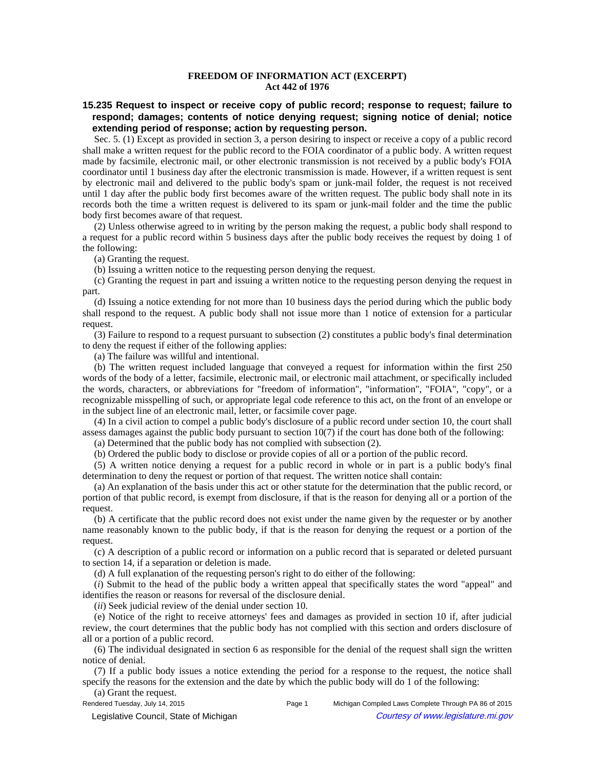## **FREEDOM OF INFORMATION ACT (EXCERPT) Act 442 of 1976**

## **15.235 Request to inspect or receive copy of public record; response to request; failure to respond; damages; contents of notice denying request; signing notice of denial; notice extending period of response; action by requesting person.**

Sec. 5. (1) Except as provided in section 3, a person desiring to inspect or receive a copy of a public record shall make a written request for the public record to the FOIA coordinator of a public body. A written request made by facsimile, electronic mail, or other electronic transmission is not received by a public body's FOIA coordinator until 1 business day after the electronic transmission is made. However, if a written request is sent by electronic mail and delivered to the public body's spam or junk-mail folder, the request is not received until 1 day after the public body first becomes aware of the written request. The public body shall note in its records both the time a written request is delivered to its spam or junk-mail folder and the time the public body first becomes aware of that request.

(2) Unless otherwise agreed to in writing by the person making the request, a public body shall respond to a request for a public record within 5 business days after the public body receives the request by doing 1 of the following:

(a) Granting the request.

(b) Issuing a written notice to the requesting person denying the request.

(c) Granting the request in part and issuing a written notice to the requesting person denying the request in part.

(d) Issuing a notice extending for not more than 10 business days the period during which the public body shall respond to the request. A public body shall not issue more than 1 notice of extension for a particular request.

(3) Failure to respond to a request pursuant to subsection (2) constitutes a public body's final determination to deny the request if either of the following applies:

(a) The failure was willful and intentional.

(b) The written request included language that conveyed a request for information within the first 250 words of the body of a letter, facsimile, electronic mail, or electronic mail attachment, or specifically included the words, characters, or abbreviations for "freedom of information", "information", "FOIA", "copy", or a recognizable misspelling of such, or appropriate legal code reference to this act, on the front of an envelope or in the subject line of an electronic mail, letter, or facsimile cover page.

(4) In a civil action to compel a public body's disclosure of a public record under section 10, the court shall assess damages against the public body pursuant to section 10(7) if the court has done both of the following:

(a) Determined that the public body has not complied with subsection (2).

(b) Ordered the public body to disclose or provide copies of all or a portion of the public record.

(5) A written notice denying a request for a public record in whole or in part is a public body's final determination to deny the request or portion of that request. The written notice shall contain:

(a) An explanation of the basis under this act or other statute for the determination that the public record, or portion of that public record, is exempt from disclosure, if that is the reason for denying all or a portion of the request.

(b) A certificate that the public record does not exist under the name given by the requester or by another name reasonably known to the public body, if that is the reason for denying the request or a portion of the request.

(c) A description of a public record or information on a public record that is separated or deleted pursuant to section 14, if a separation or deletion is made.

(d) A full explanation of the requesting person's right to do either of the following:

(*i*) Submit to the head of the public body a written appeal that specifically states the word "appeal" and identifies the reason or reasons for reversal of the disclosure denial.

(*ii*) Seek judicial review of the denial under section 10.

(e) Notice of the right to receive attorneys' fees and damages as provided in section 10 if, after judicial review, the court determines that the public body has not complied with this section and orders disclosure of all or a portion of a public record.

(6) The individual designated in section 6 as responsible for the denial of the request shall sign the written notice of denial.

(7) If a public body issues a notice extending the period for a response to the request, the notice shall specify the reasons for the extension and the date by which the public body will do 1 of the following:

(a) Grant the request.